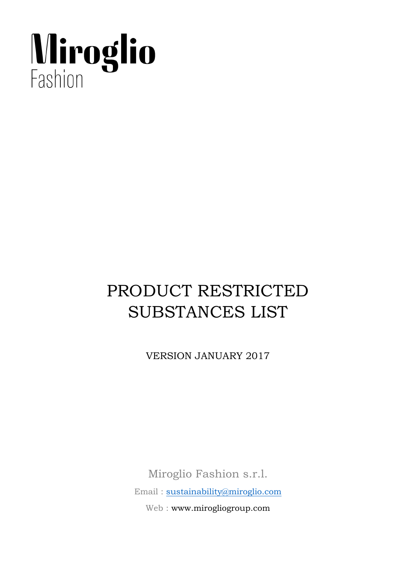

# PRODUCT RESTRICTED SUBSTANCES LIST

VERSION JANUARY 2017

Miroglio Fashion s.r.l. Email : [sustainability@miroglio.com](mailto:sustainability@miroglio.com) Web : www.mirogliogroup.com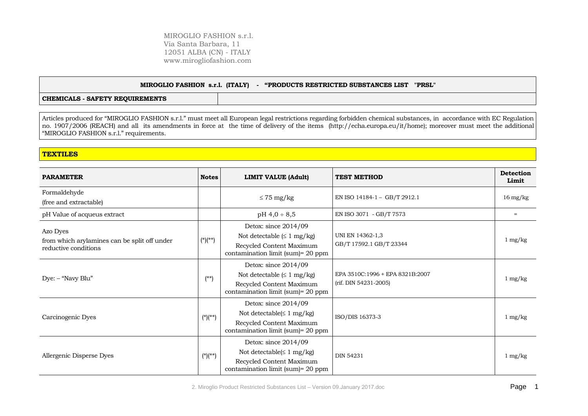#### **MIROGLIO FASHION s.r.l. (ITALY) - "PRODUCTS RESTRICTED SUBSTANCES LIST "PRSL"**

#### **CHEMICALS - SAFETY REQUIREMENTS**

Articles produced for "MIROGLIO FASHION s.r.l." must meet all European legal restrictions regarding forbidden chemical substances, in accordance with EC Regulation no. 1907/2006 (REACH) and all its amendments in force at the time of delivery of the items [\(http://echa.europa.eu/it/home\)](http://echa.europa.eu/it/home); moreover must meet the additional "MIROGLIO FASHION s.r.l." requirements.

#### **TEXTILES**

| <b>PARAMETER</b>                                                                 | <b>Notes</b> | <b>LIMIT VALUE (Adult)</b>                                                                                                       | <b>TEST METHOD</b>                                         | <b>Detection</b><br>Limit |
|----------------------------------------------------------------------------------|--------------|----------------------------------------------------------------------------------------------------------------------------------|------------------------------------------------------------|---------------------------|
| Formaldehyde<br>(free and extractable)                                           |              | $\leq$ 75 mg/kg                                                                                                                  | EN ISO 14184-1 - GB/T 2912.1                               | $16 \text{ mg/kg}$        |
| pH Value of acqueus extract                                                      |              | $pH 4,0 \div 8,5$                                                                                                                | EN ISO 3071 - GB/T 7573                                    | $=$                       |
| Azo Dyes<br>from which arylamines can be split off under<br>reductive conditions | $(*)$ (**)   | Detox: since 2014/09<br>Not detectable $(\leq 1 \text{ mg/kg})$<br>Recycled Content Maximum<br>contamination limit (sum)= 20 ppm | UNI EN 14362-1,3<br>GB/T 17592.1 GB/T 23344                | $1 \text{ mg/kg}$         |
| Dye: - "Navy Blu"                                                                | $(**)$       | Detox: since 2014/09<br>Not detectable $(\leq 1 \text{ mg/kg})$<br>Recycled Content Maximum<br>contamination limit (sum)= 20 ppm | EPA 3510C:1996 + EPA 8321B:2007<br>$(rif.$ DIN 54231-2005) | $1 \text{ mg/kg}$         |
| Carcinogenic Dyes                                                                | $(*)(**)$    | Detox: since 2014/09<br>Not detectable $( \leq 1$ mg/kg)<br>Recycled Content Maximum<br>contamination limit (sum)= 20 ppm        | ISO/DIS 16373-3                                            | $1 \text{ mg/kg}$         |
| Allergenic Disperse Dyes                                                         | $(*)$ (**)   | Detox: since 2014/09<br>Not detectable $( \leq 1$ mg/kg)<br>Recycled Content Maximum<br>contamination limit (sum)= 20 ppm        | <b>DIN 54231</b>                                           | $1 \text{ mg/kg}$         |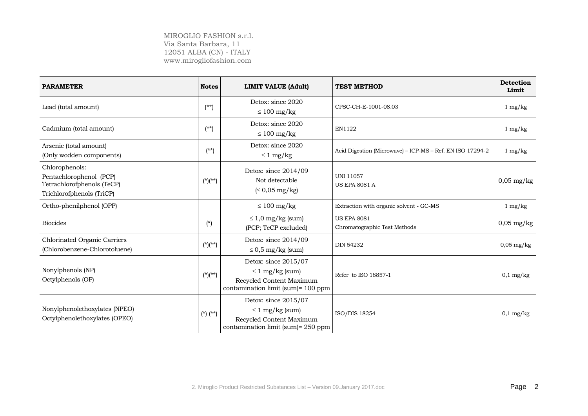| <b>PARAMETER</b>                                                                                     | <b>Notes</b> | <b>LIMIT VALUE (Adult)</b>                                                                                       | <b>TEST METHOD</b>                                        | <b>Detection</b><br>Limit |
|------------------------------------------------------------------------------------------------------|--------------|------------------------------------------------------------------------------------------------------------------|-----------------------------------------------------------|---------------------------|
| Lead (total amount)                                                                                  | $(**)$       | Detox: since 2020<br>$\leq 100$ mg/kg                                                                            | CPSC-CH-E-1001-08.03                                      | $1 \text{ mg/kg}$         |
| Cadmium (total amount)                                                                               | $(**)$       | Detox: since 2020<br>$\leq 100$ mg/kg                                                                            | EN1122                                                    | $1 \text{ mg/kg}$         |
| Arsenic (total amount)<br>(Only wodden components)                                                   | $(**)$       | Detox: since 2020<br>$\leq 1$ mg/kg                                                                              | Acid Digestion (Microwave) – ICP-MS – Ref. EN ISO 17294-2 | $1 \text{ mg/kg}$         |
| Chlorophenols:<br>Pentachlorophenol (PCP)<br>Tetrachlorofphenols (TeCP)<br>Trichlorofphenols (TriCP) | $(*)(**)$    | Detox: since 2014/09<br>Not detectable<br>$\leq 0.05$ mg/kg                                                      | <b>UNI 11057</b><br><b>US EPA 8081 A</b>                  | $0,05$ mg/kg              |
| Ortho-phenilphenol (OPP)                                                                             |              | $\leq 100$ mg/kg                                                                                                 | Extraction with organic solvent - GC-MS                   | $1 \text{ mg/kg}$         |
| <b>Biocides</b>                                                                                      | $(*)$        | $\leq 1.0$ mg/kg (sum)<br>(PCP; TeCP excluded)                                                                   | <b>US EPA 8081</b><br>Chromatographic Test Methods        | $0,05$ mg/kg              |
| Chlorinated Organic Carriers<br>(Chlorobenzene-Chlorotoluene)                                        | $(*)(**)$    | Detox: since 2014/09<br>$\leq$ 0,5 mg/kg (sum)                                                                   | <b>DIN 54232</b>                                          | $0,05 \text{ mg/kg}$      |
| Nonylphenols (NP)<br>Octylphenols (OP)                                                               | $(*)$ (**)   | Detox: since 2015/07<br>$\leq 1$ mg/kg (sum)<br>Recycled Content Maximum<br>contamination limit (sum)= 100 ppm   | Refer to ISO 18857-1                                      | $0,1$ mg/kg               |
| Nonylphenolethoxylates (NPEO)<br>Octylphenolethoxylates (OPEO)                                       | $(*)$ $(**)$ | Detox: since $2015/07$<br>$\leq 1$ mg/kg (sum)<br>Recycled Content Maximum<br>contamination limit (sum)= 250 ppm | ISO/DIS 18254                                             | $0,1$ mg/kg               |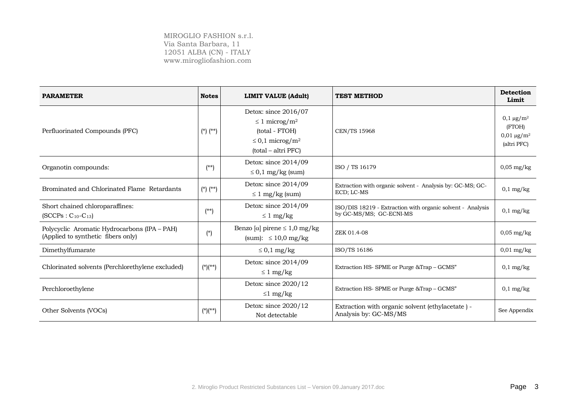| <b>PARAMETER</b>                                                                   | <b>Notes</b> | <b>LIMIT VALUE (Adult)</b>                                                                                                            | <b>TEST METHOD</b>                                                                    | <b>Detection</b><br>Limit                                                 |
|------------------------------------------------------------------------------------|--------------|---------------------------------------------------------------------------------------------------------------------------------------|---------------------------------------------------------------------------------------|---------------------------------------------------------------------------|
| Perfluorinated Compounds (PFC)                                                     | $(*)$ (**)   | Detox: since $2016/07$<br>$\leq 1$ microg/m <sup>2</sup><br>(total - FTOH)<br>$\leq$ 0,1 microg/m <sup>2</sup><br>(total – altri PFC) | <b>CEN/TS 15968</b>                                                                   | $0,1 \,\mu g/m^2$<br>(FTOH)<br>$0,01 \,\mathrm{\mu g/m^2}$<br>(altri PFC) |
| Organotin compounds:                                                               | $(**)$       | Detox: since 2014/09<br>$\leq$ 0,1 mg/kg (sum)                                                                                        | ISO / TS 16179                                                                        | $0.05$ mg/kg                                                              |
| Brominated and Chlorinated Flame Retardants                                        | $(*) (**)$   | Detox: since 2014/09<br>$\leq 1$ mg/kg (sum)                                                                                          | Extraction with organic solvent - Analysis by: GC-MS; GC-<br>ECD; LC-MS               | $0,1$ mg/kg                                                               |
| Short chained chloroparaffines:<br>$(SCCPs : C_{10} - C_{13})$                     | $(**)$       | Detox: since 2014/09<br>$\leq 1$ mg/kg                                                                                                | ISO/DIS 18219 - Extraction with organic solvent - Analysis<br>by GC-MS/MS; GC-ECNI-MS | $0,1$ mg/kg                                                               |
| Polycyclic Aromatic Hydrocarbons (IPA - PAH)<br>(Applied to synthetic fibers only) | $(*)$        | Benzo [ $\alpha$ ] pirene $\leq 1,0$ mg/kg<br>(sum): $\leq 10.0$ mg/kg                                                                | ZEK 01.4-08                                                                           | $0.05$ mg/kg                                                              |
| Dimethylfumarate                                                                   |              | $\leq 0.1$ mg/kg                                                                                                                      | ISO/TS 16186                                                                          | $0,01$ mg/kg                                                              |
| Chlorinated solvents (Perchlorethylene excluded)                                   | $(*)$ (**)   | Detox: since 2014/09<br>$\leq 1$ mg/kg                                                                                                | Extraction HS-SPME or Purge & Trap - GCMS"                                            | $0,1$ mg/kg                                                               |
| Perchloroethylene                                                                  |              | Detox: since 2020/12<br>$\leq 1$ mg/kg                                                                                                | Extraction HS-SPME or Purge & Trap - GCMS"                                            | $0,1$ mg/kg                                                               |
| Other Solvents (VOCs)                                                              | $(*)$ (**)   | Detox: since 2020/12<br>Not detectable                                                                                                | Extraction with organic solvent (ethylacetate) -<br>Analysis by: GC-MS/MS             | See Appendix                                                              |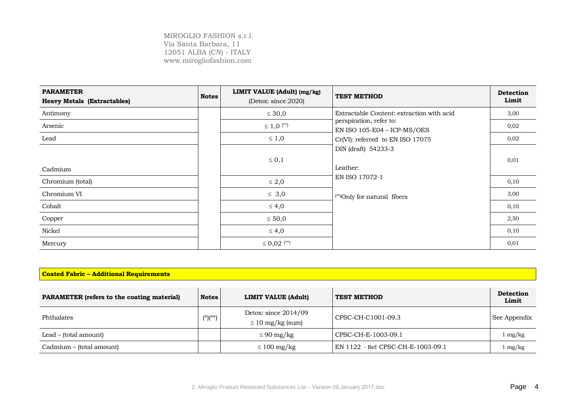| <b>PARAMETER</b><br><b>Heavy Metals (Extractables)</b> | <b>Notes</b> | LIMIT VALUE (Adult) (mg/kg)<br>(Detox: since 2020) | <b>TEST METHOD</b>                                     | <b>Detection</b><br>Limit |
|--------------------------------------------------------|--------------|----------------------------------------------------|--------------------------------------------------------|---------------------------|
| Antimony                                               |              | $\leq 30,0$                                        | Extractable Content: extraction with acid              | 3,00                      |
| Arsenic                                                |              | $\leq 1,0$ <sup>(**)</sup>                         | perspiration, refer to:<br>EN ISO 105-E04 - ICP-MS/OES | 0,02                      |
| Lead                                                   |              | $\leq 1,0$                                         | Cr(VI): referred to EN ISO 17075                       | 0,02                      |
| Cadmium                                                |              | $\leq 0,1$                                         | DIN (draft) 54233-3<br>Leather:                        | 0,01                      |
| Chromium (total)                                       |              | $\leq 2,0$                                         | <b>EN ISO 17072-1</b>                                  | 0,10                      |
| Chromium VI                                            |              | $\leq 3,0$                                         | $\int$ <sup>(**)</sup> Only for natural fibers         | 3,00                      |
| Cobalt                                                 |              | $\leq 4,0$                                         |                                                        | 0,10                      |
| Copper                                                 |              | $\leq 50,0$                                        |                                                        | 2,50                      |
| Nickel                                                 |              | $\leq 4,0$                                         |                                                        | 0,10                      |
| Mercury                                                |              | $\leq 0.02$ <sup>(**)</sup>                        |                                                        | 0,01                      |

## **Coated Fabric – Additional Requirements**

| <b>PARAMETER</b> (refers to the coating material) | <b>Notes</b> | <b>LIMIT VALUE (Adult)</b>                      | <b>TEST METHOD</b>                 | <b>Detection</b><br>Limit |
|---------------------------------------------------|--------------|-------------------------------------------------|------------------------------------|---------------------------|
| Phthalates                                        | $(*)$ (**)   | Detox: since $2014/09$<br>$\leq 10$ mg/kg (sum) | CPSC-CH-C1001-09.3                 | See Appendix              |
| Lead – (total amount)                             |              | $\leq 90$ mg/kg                                 | CPSC-CH-E-1003-09.1                | l mg/kg                   |
| Cadmium – (total amount)                          |              | $\leq 100$ mg/kg                                | EN 1122 - Ref: CPSC-CH-E-1003-09.1 | l mg/kg                   |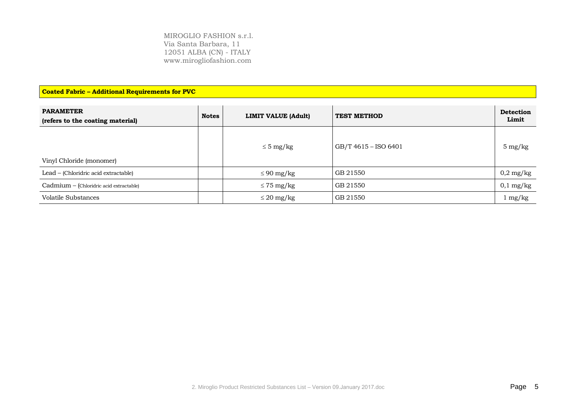#### **Coated Fabric – Additional Requirements for PVC**

| <b>PARAMETER</b><br>(refers to the coating material) | <b>Notes</b> | <b>LIMIT VALUE (Adult)</b> | <b>TEST METHOD</b>     | <b>Detection</b><br>Limit |
|------------------------------------------------------|--------------|----------------------------|------------------------|---------------------------|
| Vinyl Chloride (monomer)                             |              | $\leq$ 5 mg/kg             | $GB/T 4615 - ISO 6401$ | $5 \text{ mg/kg}$         |
| Lead - (Chloridric acid extractable)                 |              | $\leq 90$ mg/kg            | GB 21550               | $0,2$ mg/kg               |
| Cadmium – (Chloridric acid extractable)              |              | $\leq$ 75 mg/kg            | GB 21550               | $0,1$ mg/kg               |
| <b>Volatile Substances</b>                           |              | $\leq$ 20 mg/kg            | GB 21550               | $1 \text{ mg/kg}$         |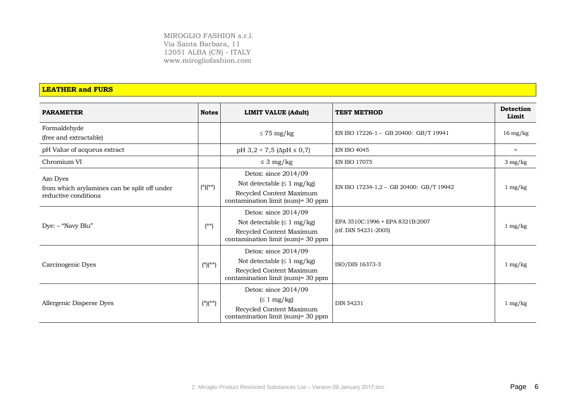# **LEATHER and FURS**

| <b>PARAMETER</b>                                                                 | <b>Notes</b>                  | <b>LIMIT VALUE (Adult)</b>                                                                                                         | <b>TEST METHOD</b>                                       | <b>Detection</b><br>Limit |
|----------------------------------------------------------------------------------|-------------------------------|------------------------------------------------------------------------------------------------------------------------------------|----------------------------------------------------------|---------------------------|
| Formaldehyde<br>(free and extractable)                                           |                               | $\leq$ 75 mg/kg                                                                                                                    | EN ISO 17226-1 - GB 20400: GB/T 19941                    | $16 \text{ mg/kg}$        |
| pH Value of acqueus extract                                                      |                               | $pH$ 3,2 ÷ 7,5 ( $\Delta pH \le 0,7$ )                                                                                             | <b>EN ISO 4045</b>                                       | $=$                       |
| Chromium VI                                                                      |                               | $\leq$ 3 mg/kg                                                                                                                     | <b>EN ISO 17075</b>                                      | $3 \text{ mg/kg}$         |
| Azo Dyes<br>from which arylamines can be split off under<br>reductive conditions | $(*)$ (**)                    | Detox: since $2014/09$<br>Not detectable $(\leq 1 \text{ mg/kg})$<br>Recycled Content Maximum<br>contamination limit (sum)= 30 ppm | EN ISO 17234-1.2 - GB 20400: GB/T 19942                  | $1 \text{ mg/kg}$         |
| $Dye: -$ "Navy Blu"                                                              | $(**)$                        | Detox: since 2014/09<br>Not detectable $(\leq 1 \text{ mg/kg})$<br>Recycled Content Maximum<br>contamination limit (sum)= 30 ppm   | EPA 3510C:1996 + EPA 8321B:2007<br>(rif. DIN 54231-2005) | $1 \text{ mg/kg}$         |
| Carcinogenic Dyes                                                                | $({}^\star)({}^{\star\star})$ | Detox: since 2014/09<br>Not detectable $(\leq 1 \text{ mg/kg})$<br>Recycled Content Maximum<br>contamination limit (sum)= 30 ppm   | ISO/DIS 16373-3                                          | $1 \text{ mg/kg}$         |
| Allergenic Disperse Dyes                                                         | $(*)(**)$                     | Detox: since 2014/09<br>$(\leq 1 \text{ mg/kg})$<br>Recycled Content Maximum<br>contamination limit (sum)= 30 ppm                  | <b>DIN 54231</b>                                         | $1 \text{ mg/kg}$         |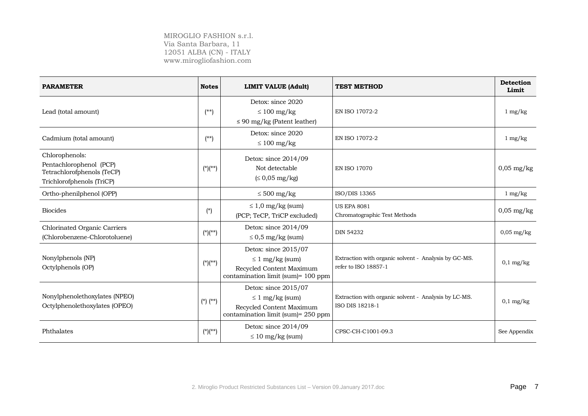| <b>PARAMETER</b>                                                                                     | <b>Notes</b>    | <b>LIMIT VALUE (Adult)</b>                                                                                     | <b>TEST METHOD</b>                                                           | <b>Detection</b><br>Limit |
|------------------------------------------------------------------------------------------------------|-----------------|----------------------------------------------------------------------------------------------------------------|------------------------------------------------------------------------------|---------------------------|
| Lead (total amount)                                                                                  | $(**)$          | Detox: since 2020<br>$\leq 100$ mg/kg<br>$\leq$ 90 mg/kg (Patent leather)                                      | EN ISO 17072-2                                                               | $1 \text{ mg/kg}$         |
| Cadmium (total amount)                                                                               | $(**)$          | Detox: since 2020<br>$\leq 100$ mg/kg                                                                          | EN ISO 17072-2                                                               | $1 \text{ mg/kg}$         |
| Chlorophenols:<br>Pentachlorophenol (PCP)<br>Tetrachlorofphenols (TeCP)<br>Trichlorofphenols (TriCP) | $(*)$ (**)      | Detox: since $2014/09$<br>Not detectable<br>$(\leq 0.05$ mg/kg)                                                | <b>EN ISO 17070</b>                                                          | $0,05$ mg/kg              |
| Ortho-phenilphenol (OPP)                                                                             |                 | $\leq 500$ mg/kg                                                                                               | ISO/DIS 13365                                                                | $1 \text{ mg/kg}$         |
| <b>Biocides</b>                                                                                      | $(*)$           | $\leq 1.0$ mg/kg (sum)<br>(PCP; TeCP, TriCP excluded)                                                          | <b>US EPA 8081</b><br>Chromatographic Test Methods                           | $0,05$ mg/kg              |
| Chlorinated Organic Carriers<br>(Chlorobenzene-Chlorotoluene)                                        | $(*)$ (**)      | Detox: since 2014/09<br>$\leq$ 0,5 mg/kg (sum)                                                                 | <b>DIN 54232</b>                                                             | $0.05$ mg/kg              |
| Nonylphenols (NP)<br>Octylphenols (OP)                                                               | $(*)$ (**)      | Detox: since 2015/07<br>$\leq 1$ mg/kg (sum)<br>Recycled Content Maximum<br>contamination limit (sum)= 100 ppm | Extraction with organic solvent - Analysis by GC-MS.<br>refer to ISO 18857-1 | $0,1$ mg/kg               |
| Nonylphenolethoxylates (NPEO)<br>Octylphenolethoxylates (OPEO)                                       | $(*)$ (**)      | Detox: since 2015/07<br>$\leq 1$ mg/kg (sum)<br>Recycled Content Maximum<br>contamination limit (sum)= 250 ppm | Extraction with organic solvent - Analysis by LC-MS.<br>ISO DIS 18218-1      | $0,1$ mg/kg               |
| Phthalates                                                                                           | $(^{*})(^{**})$ | Detox: since $2014/09$<br>$\leq 10$ mg/kg (sum)                                                                | CPSC-CH-C1001-09.3                                                           | See Appendix              |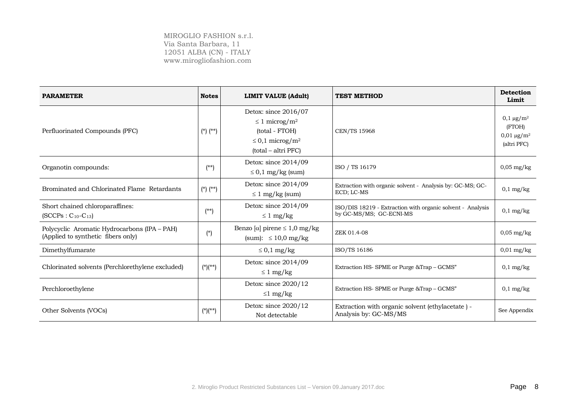| <b>PARAMETER</b>                                                                   | <b>Notes</b> | LIMIT VALUE (Adult)                                                                                                                     | <b>TEST METHOD</b>                                                                    | <b>Detection</b><br>Limit                                                 |
|------------------------------------------------------------------------------------|--------------|-----------------------------------------------------------------------------------------------------------------------------------------|---------------------------------------------------------------------------------------|---------------------------------------------------------------------------|
| Perfluorinated Compounds (PFC)                                                     | $(*)$ (**)   | Detox: since $2016/07$<br>$\leq 1$ microg/m <sup>2</sup><br>(total - FTOH)<br>$\leq 0,1$ microg/m <sup>2</sup><br>$(total - altri PFC)$ | <b>CEN/TS 15968</b>                                                                   | $0,1 \,\mu g/m^2$<br>(FTOH)<br>$0,01 \,\mathrm{\mu g/m^2}$<br>(altri PFC) |
| Organotin compounds:                                                               | $(* * )$     | Detox: since $2014/09$<br>$\leq$ 0,1 mg/kg (sum)                                                                                        | ISO / TS 16179                                                                        | $0,05$ mg/kg                                                              |
| Brominated and Chlorinated Flame Retardants                                        | $(*) (**)$   | Detox: since 2014/09<br>$\leq 1$ mg/kg (sum)                                                                                            | Extraction with organic solvent - Analysis by: GC-MS; GC-<br>ECD; LC-MS               | $0,1$ mg/kg                                                               |
| Short chained chloroparaffines:<br>$(SCCPs : C_{10} - C_{13})$                     | $(**)$       | Detox: since 2014/09<br>$\leq 1$ mg/kg                                                                                                  | ISO/DIS 18219 - Extraction with organic solvent - Analysis<br>by GC-MS/MS; GC-ECNI-MS | $0,1$ mg/kg                                                               |
| Polycyclic Aromatic Hydrocarbons (IPA – PAH)<br>(Applied to synthetic fibers only) | $(*)$        | Benzo [ $\alpha$ ] pirene $\leq 1.0$ mg/kg<br>(sum): $\leq 10.0$ mg/kg                                                                  | ZEK 01.4-08                                                                           | $0,05$ mg/kg                                                              |
| Dimethylfumarate                                                                   |              | $\leq 0.1$ mg/kg                                                                                                                        | ISO/TS 16186                                                                          | $0,01$ mg/kg                                                              |
| Chlorinated solvents (Perchlorethylene excluded)                                   | $(*)$ (**)   | Detox: since 2014/09<br>$\leq 1$ mg/kg                                                                                                  | Extraction HS-SPME or Purge & Trap - GCMS"                                            | $0,1$ mg/kg                                                               |
| Perchloroethylene                                                                  |              | Detox: since 2020/12<br>$\leq 1$ mg/kg                                                                                                  | Extraction HS-SPME or Purge & Trap - GCMS"                                            | $0,1$ mg/kg                                                               |
| Other Solvents (VOCs)                                                              | $(*)$ (**)   | Detox: since 2020/12<br>Not detectable                                                                                                  | Extraction with organic solvent (ethylacetate) -<br>Analysis by: GC-MS/MS             | See Appendix                                                              |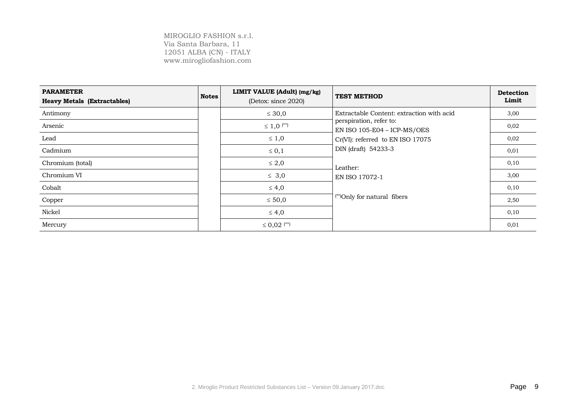| <b>PARAMETER</b><br><b>Heavy Metals (Extractables)</b> | <b>Notes</b> | LIMIT VALUE (Adult) (mg/kg)<br>(Detox: since 2020) | <b>TEST METHOD</b>                                     | <b>Detection</b><br>Limit |
|--------------------------------------------------------|--------------|----------------------------------------------------|--------------------------------------------------------|---------------------------|
| Antimony                                               |              | $\leq 30,0$                                        | Extractable Content: extraction with acid              | 3,00                      |
| Arsenic                                                |              | $\leq 1,0$ <sup>(**)</sup>                         | perspiration, refer to:<br>EN ISO 105-E04 - ICP-MS/OES | 0,02                      |
| Lead                                                   |              | $\leq 1,0$                                         | Cr(VI): referred to EN ISO 17075                       | 0,02                      |
| Cadmium                                                |              | $\leq 0,1$                                         | DIN (draft) 54233-3                                    | 0,01                      |
| Chromium (total)                                       |              | $\leq 2,0$                                         | Leather:                                               | 0,10                      |
| Chromium VI                                            |              | $\leq 3,0$                                         | EN ISO 17072-1                                         | 3,00                      |
| Cobalt                                                 |              | $\leq 4,0$                                         |                                                        | 0,10                      |
| Copper                                                 |              | $\leq 50,0$                                        | $(*)$ Only for natural fibers                          | 2,50                      |
| Nickel                                                 |              | $\leq 4,0$                                         |                                                        | 0,10                      |
| Mercury                                                |              | $\leq 0.02$ <sup>(**)</sup>                        |                                                        | 0,01                      |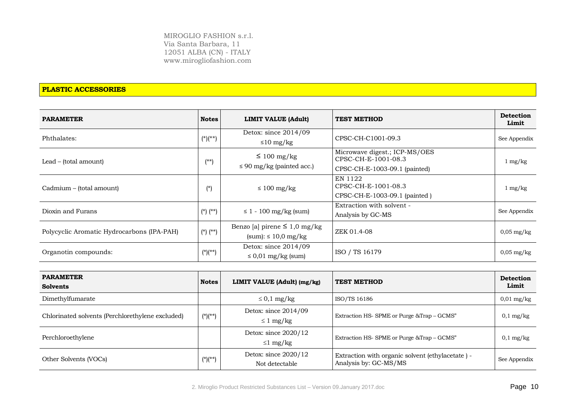# **PLASTIC ACCESSORIES**

| <b>PARAMETER</b>                           | <b>Notes</b> | LIMIT VALUE (Adult)                                                       | <b>TEST METHOD</b>                                                                      | <b>Detection</b><br>Limit |
|--------------------------------------------|--------------|---------------------------------------------------------------------------|-----------------------------------------------------------------------------------------|---------------------------|
| Phthalates:                                | $(*)$ (**)   | Detox: since 2014/09<br>$\leq 10$ mg/kg                                   | CPSC-CH-C1001-09.3                                                                      | See Appendix              |
| Lead – (total amount)                      | $(**)$       | $\leq 100$ mg/kg<br>$\leq$ 90 mg/kg (painted acc.)                        | Microwave digest.; ICP-MS/OES<br>CPSC-CH-E-1001-08.3<br>$CPSC-CH-E-1003-09.1$ (painted) | $1 \text{ mg/kg}$         |
| Cadmium – (total amount)                   | $(*)$        | $\leq 100$ mg/kg                                                          | EN 1122<br>CPSC-CH-E-1001-08.3<br>CPSC-CH-E-1003-09.1 (painted)                         | $1 \text{ mg/kg}$         |
| Dioxin and Furans                          | $(*)$ $(**)$ | $\leq 1 - 100$ mg/kg (sum)                                                | Extraction with solvent -<br>Analysis by GC-MS                                          | See Appendix              |
| Polycyclic Aromatic Hydrocarbons (IPA-PAH) | $(*) (**)$   | Benzo [a] pirene $\leq 1,0$ mg/kg<br>${\text{(sum)}}$ : $\leq 10.0$ mg/kg | ZEK 01.4-08                                                                             | $0.05$ mg/kg              |
| Organotin compounds:                       | $(*)(**)$    | Detox: since 2014/09<br>$\leq 0.01$ mg/kg (sum)                           | ISO / TS 16179                                                                          | $0.05$ mg/kg              |

| <b>PARAMETER</b><br><b>Solvents</b>              | <b>Notes</b> | LIMIT VALUE (Adult) (mg/kg)              | <b>TEST METHOD</b>                                                        | <b>Detection</b><br>Limit |
|--------------------------------------------------|--------------|------------------------------------------|---------------------------------------------------------------------------|---------------------------|
| Dimethylfumarate                                 |              | $\leq 0.1$ mg/kg                         | ISO/TS 16186                                                              | $0.01$ mg/kg              |
| Chlorinated solvents (Perchlorethylene excluded) | $(*)$ (**)   | Detox: since $2014/09$<br>$\leq 1$ mg/kg | Extraction HS-SPME or Purge & Trap - GCMS"                                | $0,1$ mg/kg               |
| Perchloroethylene                                |              | Detox: since $2020/12$<br>$\leq 1$ mg/kg | Extraction HS-SPME or Purge & Trap - GCMS"                                | $0,1$ mg/kg               |
| Other Solvents (VOCs)                            | $(*)$ (**)   | Detox: since $2020/12$<br>Not detectable | Extraction with organic solvent (ethylacetate) -<br>Analysis by: GC-MS/MS | See Appendix              |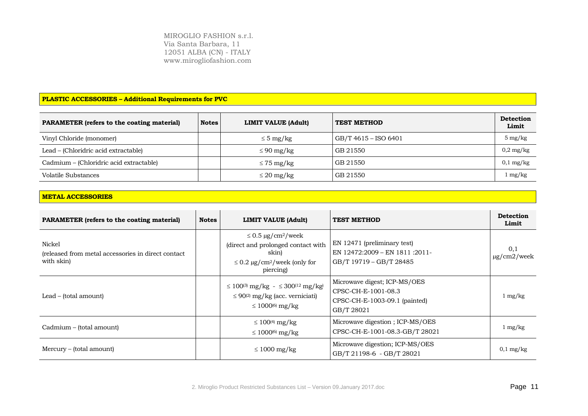## **PLASTIC ACCESSORIES – Additional Requirements for PVC**

| <b>PARAMETER</b> (refers to the coating material) | <b>Notes</b> | <b>LIMIT VALUE (Adult)</b> | <b>TEST METHOD</b>   | <b>Detection</b><br>Limit |
|---------------------------------------------------|--------------|----------------------------|----------------------|---------------------------|
| Vinyl Chloride (monomer)                          |              | $\leq$ 5 mg/kg             | GB/T 4615 - ISO 6401 | $5 \text{ mg/kg}$         |
| Lead – (Chloridric acid extractable)              |              | $\leq 90$ mg/kg            | GB 21550             | $0,2$ mg/kg               |
| Cadmium – (Chloridric acid extractable)           |              | $\leq$ 75 mg/kg            | GB 21550             | $0,1$ mg/kg               |
| Volatile Substances                               |              | $\leq$ 20 mg/kg            | GB 21550             | mg/kg                     |

#### **METAL ACCESSORIES**

| <b>PARAMETER</b> (refers to the coating material)                           | <b>Notes</b> | LIMIT VALUE (Adult)                                                                                                                              | <b>TEST METHOD</b>                                                                                 | <b>Detection</b><br>Limit |
|-----------------------------------------------------------------------------|--------------|--------------------------------------------------------------------------------------------------------------------------------------------------|----------------------------------------------------------------------------------------------------|---------------------------|
| Nickel<br>(released from metal accessories in direct contact)<br>with skin) |              | $\leq$ 0.5 µg/cm <sup>2</sup> /week<br>(direct and prolonged contact with<br>skin)<br>$\leq$ 0.2 µg/cm <sup>2</sup> /week (only for<br>piercing) | EN 12471 (preliminary test)<br>EN 12472:2009 - EN 1811 :2011-<br>GB/T 19719 - GB/T 28485           | 0,1<br>$\mu$ g/cm2/week   |
| Lead – (total amount)                                                       |              | $\leq 100^{(3)}$ mg/kg - $\leq 300^{(12)}$ mg/kg<br>$\leq$ 90 <sup>(2)</sup> mg/kg (acc. verniciati)<br>$\leq 1000^{(6)}$ mg/kg                  | Microwave digest; ICP-MS/OES<br>CPSC-CH-E-1001-08.3<br>CPSC-CH-E-1003-09.1 (painted)<br>GB/T 28021 | $1 \text{ mg/kg}$         |
| Cadmium – (total amount)                                                    |              | $\leq 100^{(4)}$ mg/kg<br>$\leq 1000$ <sup>(6)</sup> mg/kg                                                                                       | Microwave digestion; ICP-MS/OES<br>CPSC-CH-E-1001-08.3-GB/T 28021                                  | $1 \text{ mg/kg}$         |
| Mercury – (total amount)                                                    |              | $\leq 1000$ mg/kg                                                                                                                                | Microwave digestion; ICP-MS/OES<br>GB/T 21198-6 - GB/T 28021                                       | $0,1$ mg/kg               |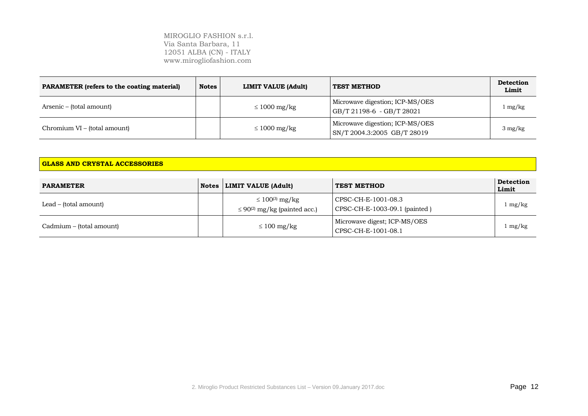| <b>PARAMETER</b> (refers to the coating material) | <b>Notes</b> | LIMIT VALUE (Adult) | <b>TEST METHOD</b>                                             | <b>Detection</b><br>Limit |
|---------------------------------------------------|--------------|---------------------|----------------------------------------------------------------|---------------------------|
| Arsenic – (total amount)                          |              | $\leq 1000$ mg/kg   | Microwave digestion; ICP-MS/OES<br>GB/T 21198-6 - GB/T 28021   | l mg/kg                   |
| Chromium VI – (total amount)                      |              | $\leq 1000$ mg/kg   | Microwave digestion; ICP-MS/OES<br>SN/T 2004.3:2005 GB/T 28019 | $3 \text{ mg/kg}$         |

# **GLASS AND CRYSTAL ACCESSORIES**

| <b>PARAMETER</b>         | Notes   LIMIT VALUE (Adult)                                             | <b>TEST METHOD</b>                                   | Detection<br>Limit      |
|--------------------------|-------------------------------------------------------------------------|------------------------------------------------------|-------------------------|
| Lead – (total amount)    | $\leq 100^{(3)}$ mg/kg<br>$\leq$ 90 <sup>(2)</sup> mg/kg (painted acc.) | CPSC-CH-E-1001-08.3<br>CPSC-CH-E-1003-09.1 (painted) | $\lfloor mg/kg \rfloor$ |
| Cadmium – (total amount) | $\leq 100$ mg/kg                                                        | Microwave digest; ICP-MS/OES<br>CPSC-CH-E-1001-08.1  | $\lfloor mg/kg \rfloor$ |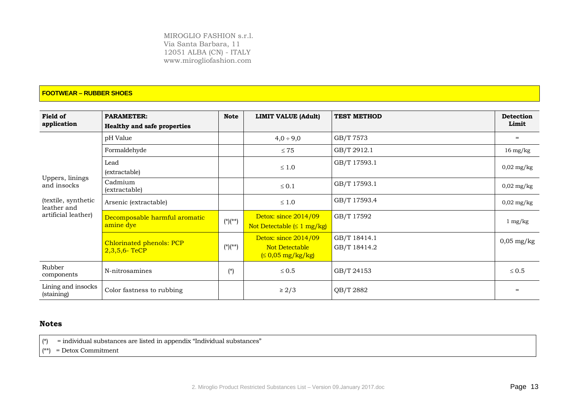## **FOOTWEAR – RUBBER SHOES**

| Field of<br>application            | <b>PARAMETER:</b><br><b>Healthy and safe properties</b> | <b>Note</b> | <b>LIMIT VALUE (Adult)</b>                                        | <b>TEST METHOD</b>           | <b>Detection</b><br>Limit |
|------------------------------------|---------------------------------------------------------|-------------|-------------------------------------------------------------------|------------------------------|---------------------------|
|                                    | pH Value                                                |             | $4,0 \div 9,0$                                                    | GB/T 7573                    | $=$                       |
|                                    | Formaldehyde                                            |             | $\leq 75$                                                         | GB/T 2912.1                  | $16 \text{ mg/kg}$        |
|                                    | Lead<br>(extractable)                                   |             | $\leq 1.0$                                                        | GB/T 17593.1                 | $0,02$ mg/kg              |
| Uppers, linings<br>and insocks     | Cadmium<br>(extractable)                                |             | $\leq 0.1$                                                        | GB/T 17593.1                 | $0,02 \text{ mg/kg}$      |
| (textile, synthetic<br>leather and | Arsenic (extractable)                                   |             | $\leq 1.0$                                                        | GB/T 17593.4                 | $0,02$ mg/kg              |
| artificial leather)                | Decomposable harmful aromatic<br>amine dye              | $(*)$ (**)  | Detox: since 2014/09<br>Not Detectable $( \leq 1 \text{ mg/kg} )$ | GB/T 17592                   | $1 \text{ mg/kg}$         |
|                                    | Chlorinated phenols: PCP<br>$2,3,5,6$ - TeCP            | $(*)$ (**)  | Detox: since 2014/09<br>Not Detectable<br>$\leq 0.05$ mg/kg/kg)   | GB/T 18414.1<br>GB/T 18414.2 | $0,05$ mg/kg              |
| Rubber<br>components               | N-nitrosamines                                          | $(*)$       | $\leq 0.5$                                                        | GB/T 24153                   | $\leq 0.5$                |
| Lining and insocks<br>(staining)   | Color fastness to rubbing                               |             | $\geq 2/3$                                                        | QB/T 2882                    |                           |

# **Notes**

 $\vert$  (\*) = individual substances are listed in appendix "Individual substances"

 $\left| \begin{array}{cc} \star \star \end{array} \right|$  = Detox Commitment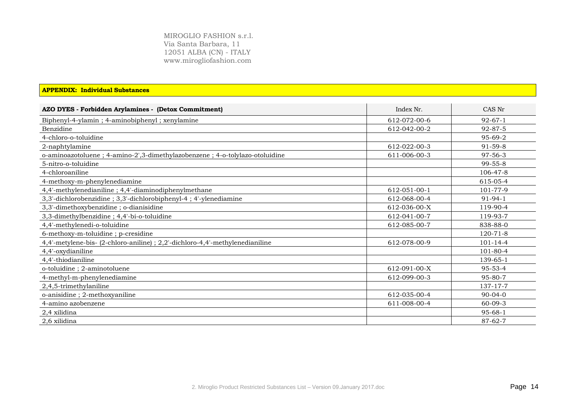## **APPENDIX: Individual Substances**

| AZO DYES - Forbidden Arylamines - (Detox Commitment)                          | Index Nr.    | CAS Nr         |
|-------------------------------------------------------------------------------|--------------|----------------|
| Biphenyl-4-ylamin; 4-aminobiphenyl; xenylamine                                | 612-072-00-6 | $92 - 67 - 1$  |
| Benzidine                                                                     | 612-042-00-2 | $92 - 87 - 5$  |
| 4-chloro-o-toluidine                                                          |              | $95 - 69 - 2$  |
| 2-naphtylamine                                                                | 612-022-00-3 | $91 - 59 - 8$  |
| o-aminoazotoluene ; 4-amino-2',3-dimethylazobenzene ; 4-o-tolylazo-otoluidine | 611-006-00-3 | $97 - 56 - 3$  |
| 5-nitro-o-toluidine                                                           |              | $99 - 55 - 8$  |
| 4-chloroaniline                                                               |              | 106-47-8       |
| 4-methoxy-m-phenylenediamine                                                  |              | 615-05-4       |
| 4,4'-methylenedianiline; 4,4'-diaminodiphenylmethane                          | 612-051-00-1 | 101-77-9       |
| 3,3'-dichlorobenzidine; 3,3'-dichlorobiphenyl-4; 4'-ylenediamine              | 612-068-00-4 | $91 - 94 - 1$  |
| 3,3'-dimethoxybenzidine; o-dianisidine                                        | 612-036-00-X | 119-90-4       |
| 3,3-dimethylbenzidine; 4,4'-bi-o-toluidine                                    | 612-041-00-7 | 119-93-7       |
| 4,4'-methylenedi-o-toluidine                                                  | 612-085-00-7 | 838-88-0       |
| 6-methoxy-m-toluidine; p-cresidine                                            |              | $120 - 71 - 8$ |
| 4,4'-metylene-bis- (2-chloro-aniline) ; 2,2'-dichloro-4,4'-methylenedianiline | 612-078-00-9 | $101 - 14 - 4$ |
| 4,4'-oxydianiline                                                             |              | 101-80-4       |
| 4,4'-thiodianiline                                                            |              | 139-65-1       |
| o-toluidine; 2-aminotoluene                                                   | 612-091-00-X | $95 - 53 - 4$  |
| 4-methyl-m-phenylenediamine                                                   | 612-099-00-3 | 95-80-7        |
| 2,4,5-trimethylaniline                                                        |              | 137-17-7       |
| o-anisidine; 2-methoxyaniline                                                 | 612-035-00-4 | $90 - 04 - 0$  |
| 4-amino azobenzene                                                            | 611-008-00-4 | $60 - 09 - 3$  |
| 2,4 xilidina                                                                  |              | $95 - 68 - 1$  |
| 2,6 xilidina                                                                  |              | $87 - 62 - 7$  |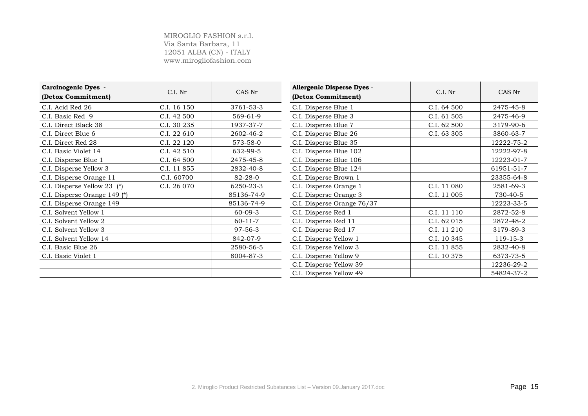| <b>Carcinogenic Dyes -</b><br>(Detox Commitment) | C.I. Nr     | CAS Nr        | Allergenic Disperse Dyes -<br>(Detox Commitment) | C.I. Nr     | CAS Nr     |
|--------------------------------------------------|-------------|---------------|--------------------------------------------------|-------------|------------|
| C.I. Acid Red 26                                 | C.I. 16 150 | 3761-53-3     | C.I. Disperse Blue 1                             | C.I. 64 500 | 2475-45-8  |
| C.I. Basic Red 9                                 | C.I. 42 500 | 569-61-9      | C.I. Disperse Blue 3                             | C.I. 61 505 | 2475-46-9  |
| C.I. Direct Black 38                             | C.I. 30 235 | 1937-37-7     | C.I. Disperse Blue 7                             | C.I. 62 500 | 3179-90-6  |
| C.I. Direct Blue 6                               | C.I. 22 610 | 2602-46-2     | C.I. Disperse Blue 26                            | C.I. 63 305 | 3860-63-7  |
| C.I. Direct Red 28                               | C.I. 22 120 | 573-58-0      | C.I. Disperse Blue 35                            |             | 12222-75-2 |
| C.I. Basic Violet 14                             | C.I. 42 510 | 632-99-5      | C.I. Disperse Blue 102                           |             | 12222-97-8 |
| C.I. Disperse Blue 1                             | C.I. 64 500 | 2475-45-8     | C.I. Disperse Blue 106                           |             | 12223-01-7 |
| C.I. Disperse Yellow 3                           | C.I. 11 855 | 2832-40-8     | C.I. Disperse Blue 124                           |             | 61951-51-7 |
| C.I. Disperse Orange 11                          | C.I. 60700  | 82-28-0       | C.I. Disperse Brown 1                            |             | 23355-64-8 |
| C.I. Disperse Yellow 23 (*)                      | C.I. 26 070 | 6250-23-3     | C.I. Disperse Orange 1                           | C.I. 11 080 | 2581-69-3  |
| C.I. Disperse Orange 149 (*)                     |             | 85136-74-9    | C.I. Disperse Orange 3                           | C.I. 11 005 | 730-40-5   |
| C.I. Disperse Orange 149                         |             | 85136-74-9    | C.I. Disperse Orange 76/37                       |             | 12223-33-5 |
| C.I. Solvent Yellow 1                            |             | $60 - 09 - 3$ | C.I. Disperse Red 1                              | C.I. 11 110 | 2872-52-8  |
| C.I. Solvent Yellow 2                            |             | $60 - 11 - 7$ | C.I. Disperse Red 11                             | C.I. 62 015 | 2872-48-2  |
| C.I. Solvent Yellow 3                            |             | $97 - 56 - 3$ | C.I. Disperse Red 17                             | C.I. 11 210 | 3179-89-3  |
| C.I. Solvent Yellow 14                           |             | 842-07-9      | C.I. Disperse Yellow 1                           | C.I. 10 345 | 119-15-3   |
| C.I. Basic Blue 26                               |             | 2580-56-5     | C.I. Disperse Yellow 3                           | C.I. 11 855 | 2832-40-8  |
| C.I. Basic Violet 1                              |             | 8004-87-3     | C.I. Disperse Yellow 9                           | C.I. 10 375 | 6373-73-5  |
|                                                  |             |               | C.I. Disperse Yellow 39                          |             | 12236-29-2 |
|                                                  |             |               | C.I. Disperse Yellow 49                          |             | 54824-37-2 |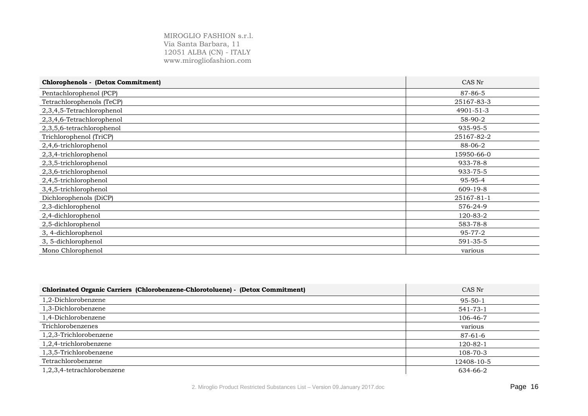| Chlorophenols - (Detox Commitment) | CAS Nr     |
|------------------------------------|------------|
| Pentachlorophenol (PCP)            | 87-86-5    |
| Tetrachlorophenols (TeCP)          | 25167-83-3 |
| 2,3,4,5-Tetrachlorophenol          | 4901-51-3  |
| 2,3,4,6-Tetrachlorophenol          | 58-90-2    |
| 2,3,5,6-tetrachlorophenol          | 935-95-5   |
| Trichlorophenol (TriCP)            | 25167-82-2 |
| 2,4,6-trichlorophenol              | 88-06-2    |
| 2,3,4-trichlorophenol              | 15950-66-0 |
| 2,3,5-trichlorophenol              | 933-78-8   |
| 2,3,6-trichlorophenol              | 933-75-5   |
| 2,4,5-trichlorophenol              | 95-95-4    |
| 3,4,5-trichlorophenol              | 609-19-8   |
| Dichlorophenols (DiCP)             | 25167-81-1 |
| 2,3-dichlorophenol                 | 576-24-9   |
| 2,4-dichlorophenol                 | 120-83-2   |
| 2,5-dichlorophenol                 | 583-78-8   |
| 3, 4-dichlorophenol                | 95-77-2    |
| 3, 5-dichlorophenol                | 591-35-5   |
| Mono Chlorophenol                  | various    |

| Chlorinated Organic Carriers (Chlorobenzene-Chlorotoluene) - (Detox Commitment) | CAS Nr         |
|---------------------------------------------------------------------------------|----------------|
| 1,2-Dichlorobenzene                                                             | $95 - 50 - 1$  |
| 1,3-Dichlorobenzene                                                             | 541-73-1       |
| 1,4-Dichlorobenzene                                                             | 106-46-7       |
| Trichlorobenzenes                                                               | various        |
| 1,2,3-Trichlorobenzene                                                          | 87-61-6        |
| $1,2,4$ -trichlorobenzene                                                       | $120 - 82 - 1$ |
| 1,3,5-Trichlorobenzene                                                          | 108-70-3       |
| Tetrachlorobenzene                                                              | 12408-10-5     |
| 1,2,3,4-tetrachlorobenzene                                                      | 634-66-2       |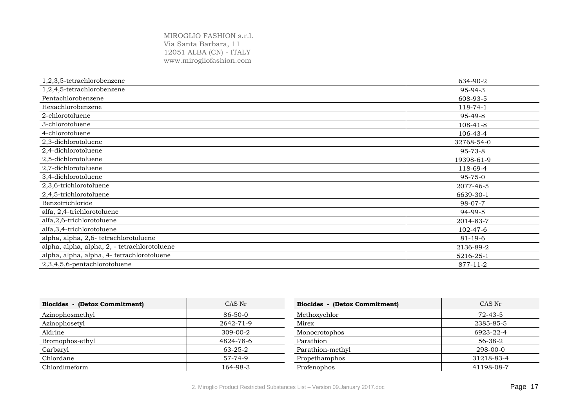| 1,2,3,5-tetrachlorobenzene                   | 634-90-2      |
|----------------------------------------------|---------------|
| 1,2,4,5-tetrachlorobenzene                   | 95-94-3       |
| Pentachlorobenzene                           | 608-93-5      |
| Hexachlorobenzene                            | 118-74-1      |
| 2-chlorotoluene                              | 95-49-8       |
| 3-chlorotoluene                              | 108-41-8      |
| 4-chlorotoluene                              | 106-43-4      |
| 2,3-dichlorotoluene                          | 32768-54-0    |
| 2,4-dichlorotoluene                          | 95-73-8       |
| 2,5-dichlorotoluene                          | 19398-61-9    |
| 2,7-dichlorotoluene                          | 118-69-4      |
| 3,4-dichlorotoluene                          | $95 - 75 - 0$ |
| 2,3,6-trichlorotoluene                       | 2077-46-5     |
| 2,4,5-trichlorotoluene                       | 6639-30-1     |
| Benzotrichloride                             | 98-07-7       |
| alfa, 2,4-trichlorotoluene                   | 94-99-5       |
| alfa,2,6-trichlorotoluene                    | 2014-83-7     |
| alfa, 3, 4-trichlorotoluene                  | 102-47-6      |
| alpha, alpha, 2,6- tetrachlorotoluene        | $81 - 19 - 6$ |
| alpha, alpha, alpha, 2, - tetrachlorotoluene | 2136-89-2     |
| alpha, alpha, alpha, 4- tetrachlorotoluene   | 5216-25-1     |
| 2,3,4,5,6-pentachlorotoluene                 | 877-11-2      |

| Biocides - (Detox Commitment) | CAS Nr        | <b>Biocides</b> - (Detox Commitment) | CAS Nr     |
|-------------------------------|---------------|--------------------------------------|------------|
| Azinophosmethyl               | $86 - 50 - 0$ | Methoxychlor                         | 72-43-5    |
| Azinophosetyl                 | 2642-71-9     | Mirex                                | 2385-85-5  |
| Aldrine                       | 309-00-2      | Monocrotophos                        | 6923-22-4  |
| Bromophos-ethyl               | 4824-78-6     | Parathion                            | 56-38-2    |
| Carbaryl                      | $63 - 25 - 2$ | Parathion-methyl                     | 298-00-0   |
| Chlordane                     | 57-74-9       | Propethamphos                        | 31218-83-4 |
| Chlordimeform                 | 164-98-3      | Profenophos                          | 41198-08-7 |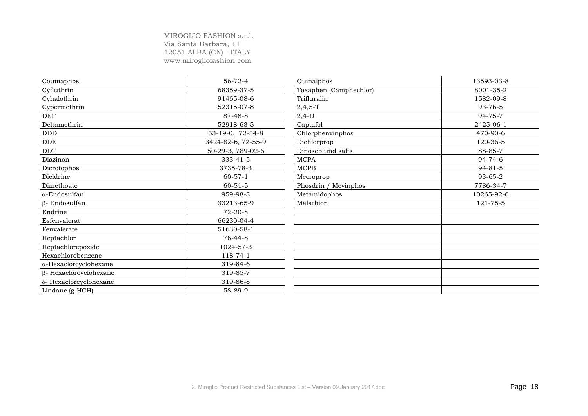| Coumaphos                     | $56 - 72 - 4$      | Quinalphos             | 13593-03-8     |
|-------------------------------|--------------------|------------------------|----------------|
| Cyfluthrin                    | 68359-37-5         | Toxaphen (Camphechlor) | 8001-35-2      |
| Cyhalothrin                   | 91465-08-6         | Trifluralin            | 1582-09-8      |
| Cypermethrin                  | 52315-07-8         | $2,4,5-T$              | $93 - 76 - 5$  |
| DEF                           | 87-48-8            | $2,4-D$                | $94 - 75 - 7$  |
| Deltamethrin                  | 52918-63-5         | Captafol               | 2425-06-1      |
| DDD                           | 53-19-0, 72-54-8   | Chlorphenvinphos       | 470-90-6       |
| DDE                           | 3424-82-6, 72-55-9 | Dichlorprop            | 120-36-5       |
| <b>DDT</b>                    | 50-29-3, 789-02-6  | Dinoseb und salts      | 88-85-7        |
| Diazinon                      | 333-41-5           | <b>MCPA</b>            | $94 - 74 - 6$  |
| Dicrotophos                   | 3735-78-3          | <b>MCPB</b>            | $94 - 81 - 5$  |
| Dieldrine                     | $60 - 57 - 1$      | Mecroprop              | 93-65-2        |
| Dimethoate                    | $60 - 51 - 5$      | Phosdrin / Mevinphos   | 7786-34-7      |
| $\alpha$ -Endosulfan          | 959-98-8           | Metamidophos           | 10265-92-6     |
| $\beta$ - Endosulfan          | 33213-65-9         | Malathion              | $121 - 75 - 5$ |
| Endrine                       | $72-20-8$          |                        |                |
| Esfenvalerat                  | 66230-04-4         |                        |                |
| Fenvalerate                   | 51630-58-1         |                        |                |
| Heptachlor                    | $76 - 44 - 8$      |                        |                |
| Heptachlorepoxide             | 1024-57-3          |                        |                |
| Hexachlorobenzene             | 118-74-1           |                        |                |
| $\alpha$ -Hexaclorcyclohexane | 319-84-6           |                        |                |
| $\beta$ - Hexaclorcyclohexane | 319-85-7           |                        |                |
| δ- Hexaclorcyclohexane        | 319-86-8           |                        |                |
| Lindane (g-HCH)               | 58-89-9            |                        |                |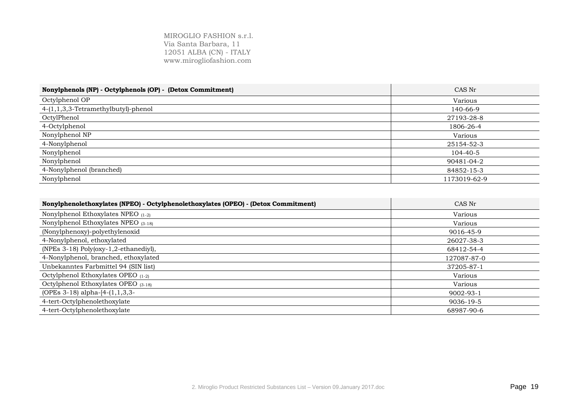| Nonylphenols (NP) - Octylphenols (OP) - (Detox Commitment) | CAS Nr         |  |  |
|------------------------------------------------------------|----------------|--|--|
| Octylphenol OP                                             | Various        |  |  |
| 4-(1,1,3,3-Tetramethylbutyl)-phenol                        | 140-66-9       |  |  |
| OctylPhenol                                                | 27193-28-8     |  |  |
| 4-Octylphenol                                              | 1806-26-4      |  |  |
| Nonylphenol NP                                             | Various        |  |  |
| 4-Nonylphenol                                              | 25154-52-3     |  |  |
| Nonylphenol                                                | $104 - 40 - 5$ |  |  |
| Nonylphenol                                                | 90481-04-2     |  |  |
| 4-Nonylphenol (branched)                                   | 84852-15-3     |  |  |
| Nonylphenol                                                | 1173019-62-9   |  |  |

| Nonylphenolethoxylates (NPEO) - Octylphenolethoxylates (OPEO) - (Detox Commitment) | CAS Nr          |
|------------------------------------------------------------------------------------|-----------------|
| Nonylphenol Ethoxylates NPEO $(1-2)$                                               | Various         |
| Nonylphenol Ethoxylates NPEO (3-18)                                                | Various         |
| (Nonylphenoxy)-polyethylenoxid                                                     | 9016-45-9       |
| 4-Nonylphenol, ethoxylated                                                         | 26027-38-3      |
| (NPEs 3-18) Poly(oxy-1,2-ethanediyl),                                              | 68412-54-4      |
| 4-Nonylphenol, branched, ethoxylated                                               | 127087-87-0     |
| Unbekanntes Farbmittel 94 (SIN list)                                               | 37205-87-1      |
| Octylphenol Ethoxylates OPEO (1-2)                                                 | Various         |
| Octylphenol Ethoxylates OPEO $(3-18)$                                              | Various         |
| (OPEs 3-18) alpha-[4-(1,1,3,3-                                                     | $9002 - 93 - 1$ |
| 4-tert-Octylphenolethoxylate                                                       | 9036-19-5       |
| 4-tert-Octylphenolethoxylate                                                       | 68987-90-6      |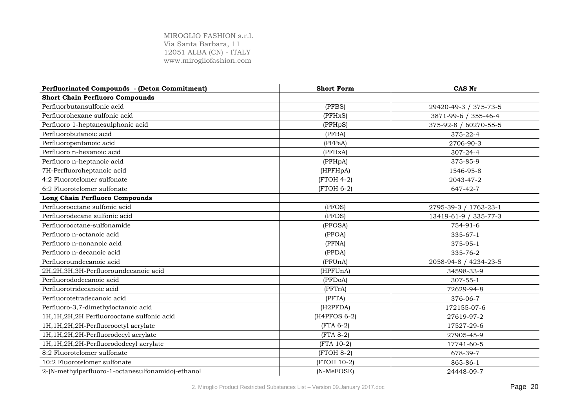| Perfluorinated Compounds - (Detox Commitment)     | <b>Short Form</b> | <b>CAS Nr</b>         |
|---------------------------------------------------|-------------------|-----------------------|
| <b>Short Chain Perfluoro Compounds</b>            |                   |                       |
| Perfluorbutansulfonic acid                        | (PFBS)            | 29420-49-3 / 375-73-5 |
| Perfluorohexane sulfonic acid                     | (PFHxS)           | 3871-99-6 / 355-46-4  |
| Perfluoro 1-heptanesulphonic acid                 | (PFHpS)           | 375-92-8 / 60270-55-5 |
| Perfluorobutanoic acid                            | (PFBA)            | 375-22-4              |
| Perfluoropentanoic acid                           | (PFPeA)           | 2706-90-3             |
| Perfluoro n-hexanoic acid                         | (PFHxA)           | 307-24-4              |
| Perfluoro n-heptanoic acid                        | (PFHpA)           | 375-85-9              |
| 7H-Perfluoroheptanoic acid                        | (HPFHpA)          | 1546-95-8             |
| 4:2 Fluorotelomer sulfonate                       | (FTOH 4-2)        | 2043-47-2             |
| 6:2 Fluorotelomer sulfonate                       | (FTOH 6-2)        | 647-42-7              |
| <b>Long Chain Perfluoro Compounds</b>             |                   |                       |
| Perfluorooctane sulfonic acid                     | (PFOS)            | 2795-39-3 / 1763-23-1 |
| Perfluorodecane sulfonic acid                     | (PFDS)            | 13419-61-9 / 335-77-3 |
| Perfluorooctane-sulfonamide                       | (PFOSA)           | 754-91-6              |
| Perfluoro n-octanoic acid                         | (PFOA)            | $335 - 67 - 1$        |
| Perfluoro n-nonanoic acid                         | (PFNA)            | 375-95-1              |
| Perfluoro n-decanoic acid                         | (PFDA)            | 335-76-2              |
| Perfluoroundecanoic acid                          | (PFUnA)           | 2058-94-8 / 4234-23-5 |
| 2H,2H,3H,3H-Perfluoroundecanoic acid              | (HPFUnA)          | 34598-33-9            |
| Perfluorododecanoic acid                          | (PFDoA)           | $307 - 55 - 1$        |
| Perfluorotridecanoic acid                         | (PFTrA)           | 72629-94-8            |
| Perfluorotetradecanoic acid                       | (PFTA)            | 376-06-7              |
| Perfluoro-3,7-dimethyloctanoic acid               | (H2PFDA)          | 172155-07-6           |
| 1H,1H,2H,2H Perfluorooctane sulfonic acid         | (H4PFOS 6-2)      | 27619-97-2            |
| 1H, 1H, 2H, 2H-Perfluorooctyl acrylate            | $(FTA 6-2)$       | 17527-29-6            |
| 1H, 1H, 2H, 2H-Perfluorodecyl acrylate            | $(FTA 8-2)$       | 27905-45-9            |
| 1H, 1H, 2H, 2H-Perfluorododecyl acrylate          | (FTA 10-2)        | 17741-60-5            |
| 8:2 Fluorotelomer sulfonate                       | (FTOH 8-2)        | 678-39-7              |
| 10:2 Fluorotelomer sulfonate                      | (FTOH 10-2)       | 865-86-1              |
| 2-(N-methylperfluoro-1-octanesulfonamido)-ethanol | $(N-MeFOSE)$      | 24448-09-7            |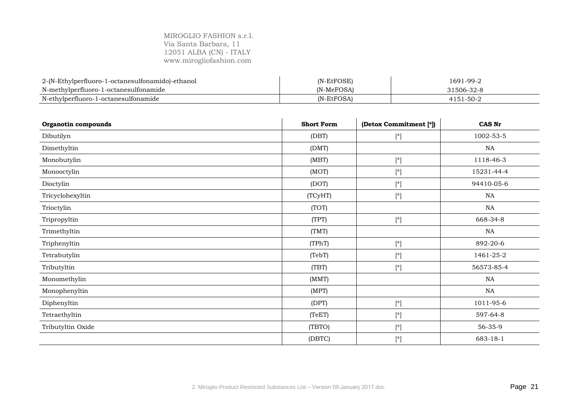| 2-(N-Ethylperfluoro-1-octanesulfonamido)-ethanol | $(N-EtFOSE)$ | 1691-99-2  |
|--------------------------------------------------|--------------|------------|
| N-methylperfluoro-1-octanesulfonamide            | (N-MeFOSA)   | 31506-32-8 |
| N-ethylperfluoro-1-octanesulfonamide             | $(N$ -EtFOSA | 4151-50-2  |

| Organotin compounds | <b>Short Form</b> | (Detox Commitment [*])                                                                                                                                                                                                                                                                                                                                                                                                                                                                                                                                                                                                                                                                                                                                                                                                                                                                                                            | CAS Nr     |
|---------------------|-------------------|-----------------------------------------------------------------------------------------------------------------------------------------------------------------------------------------------------------------------------------------------------------------------------------------------------------------------------------------------------------------------------------------------------------------------------------------------------------------------------------------------------------------------------------------------------------------------------------------------------------------------------------------------------------------------------------------------------------------------------------------------------------------------------------------------------------------------------------------------------------------------------------------------------------------------------------|------------|
| Dibutilyn           | (DBT)             | $[*]$                                                                                                                                                                                                                                                                                                                                                                                                                                                                                                                                                                                                                                                                                                                                                                                                                                                                                                                             | 1002-53-5  |
| Dimethyltin         | (DMT)             |                                                                                                                                                                                                                                                                                                                                                                                                                                                                                                                                                                                                                                                                                                                                                                                                                                                                                                                                   | NA         |
| Monobutylin         | (MBT)             | $[*]$                                                                                                                                                                                                                                                                                                                                                                                                                                                                                                                                                                                                                                                                                                                                                                                                                                                                                                                             | 1118-46-3  |
| Monooctylin         | (MOT)             | $[*] % \centering \includegraphics[width=0.9\textwidth]{images/TrDiS/N-Architecture.png} % \caption{The first two different values of $N$ in the right, $N=100$, $N=100$, $N=100$, $N=100$, $N=100$, $N=100$, $N=100$, $N=100$, $N=100$, $N=100$, $N=100$, $N=100$, $N=100$, $N=100$, $N=100$, $N=100$, $N=100$, $N=100$, $N=100$, $N=100$, $N=100$, $N=100$, $N=100$, $N=100$, $N=1$                                                                                                                                                                                                                                                                                                                                                                                                                                                                                                                                             | 15231-44-4 |
| Dioctylin           | (DOT)             | $[\star]$                                                                                                                                                                                                                                                                                                                                                                                                                                                                                                                                                                                                                                                                                                                                                                                                                                                                                                                         | 94410-05-6 |
| Tricyclohexyltin    | (TCyHT)           | $[*] % \centering \includegraphics[width=0.9\textwidth]{images/TrDiS/N-Architecture.png} % \caption{The first two different values of $N$ in the right, $N=100$, $N=100$, $N=100$, $N=100$, $N=100$, $N=100$, $N=100$, $N=100$, $N=100$, $N=100$, $N=100$, $N=100$, $N=100$, $N=100$, $N=100$, $N=100$, $N=100$, $N=100$, $N=100$, $N=100$, $N=100$, $N=100$, $N=100$, $N=100$, $N=1$                                                                                                                                                                                                                                                                                                                                                                                                                                                                                                                                             | NA         |
| Trioctylin          | (TOT)             |                                                                                                                                                                                                                                                                                                                                                                                                                                                                                                                                                                                                                                                                                                                                                                                                                                                                                                                                   | NA         |
| Tripropyltin        | (TPT)             | $[*]$                                                                                                                                                                                                                                                                                                                                                                                                                                                                                                                                                                                                                                                                                                                                                                                                                                                                                                                             | 668-34-8   |
| Trimethyltin        | (TMT)             |                                                                                                                                                                                                                                                                                                                                                                                                                                                                                                                                                                                                                                                                                                                                                                                                                                                                                                                                   | NA         |
| Triphenyltin        | (TPhT)            | $[*] % \centering \includegraphics[width=0.9\columnwidth]{figures/fig_10.pdf} \caption{The average number of times on the left and right. The number of times on the right, the number of times on the right, the number of times on the right, the number of times on the right, the number of times on the right, the number of times on the right, the number of times on the right, the number of times on the right, the number of times on the right, the number of times on the right, the number of times on the right, the number of times on the right, the number of times on the right, the number of times on the right, the number of times on the right, the number of times on the right, the number of times on the right, the number of times on the right, the number of times on the right, the number of times on the right, the number of times on the right, the number of times on the right, the number$ | 892-20-6   |
| Tetrabutylin        | (TebT)            | $[$                                                                                                                                                                                                                                                                                                                                                                                                                                                                                                                                                                                                                                                                                                                                                                                                                                                                                                                               | 1461-25-2  |
| Tributyltin         | (TBT)             | $[*]$                                                                                                                                                                                                                                                                                                                                                                                                                                                                                                                                                                                                                                                                                                                                                                                                                                                                                                                             | 56573-85-4 |
| Monomethylin        | (MMT)             |                                                                                                                                                                                                                                                                                                                                                                                                                                                                                                                                                                                                                                                                                                                                                                                                                                                                                                                                   | NA         |
| Monophenyltin       | (MPT)             |                                                                                                                                                                                                                                                                                                                                                                                                                                                                                                                                                                                                                                                                                                                                                                                                                                                                                                                                   | NA         |
| Diphenyltin         | (DPT)             | $[*] % \centering \includegraphics[width=0.9\textwidth]{images/TrDiS/N-Architecture.png} % \caption{The first two different values of $N$ in the right, $N=100$, $N=100$, $N=100$, $N=100$, $N=100$, $N=100$, $N=100$, $N=100$, $N=100$, $N=100$, $N=100$, $N=100$, $N=100$, $N=100$, $N=100$, $N=100$, $N=100$, $N=100$, $N=100$, $N=100$, $N=100$, $N=100$, $N=100$, $N=100$, $N=1$                                                                                                                                                                                                                                                                                                                                                                                                                                                                                                                                             | 1011-95-6  |
| Tetraethyltin       | (TeET)            | $[^*]$                                                                                                                                                                                                                                                                                                                                                                                                                                                                                                                                                                                                                                                                                                                                                                                                                                                                                                                            | 597-64-8   |
| Tributyltin Oxide   | (TBTO)            | $[$                                                                                                                                                                                                                                                                                                                                                                                                                                                                                                                                                                                                                                                                                                                                                                                                                                                                                                                               | 56-35-9    |
|                     | (DBTC)            | $[ * ] % \centering % {\includegraphics[width=0.9\textwidth]{images/Trig7.pdf}} \caption{The figure shows the results of the estimators in the left hand side.} \label{fig:Trig7}$                                                                                                                                                                                                                                                                                                                                                                                                                                                                                                                                                                                                                                                                                                                                                | 683-18-1   |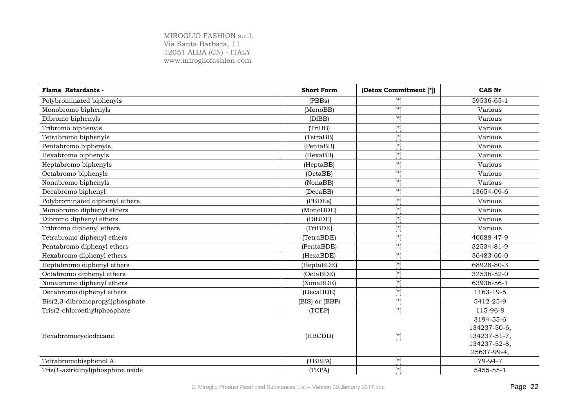| <b>Flame Retardants -</b>         | <b>Short Form</b> | (Detox Commitment [*]) | CAS Nr                                                                   |
|-----------------------------------|-------------------|------------------------|--------------------------------------------------------------------------|
| Polybrominated biphenyls          | (PBBs)            | [*]                    | 59536-65-1                                                               |
| Monobromo biphenyls               | (MonoBB)          | $\mathsf{r}$           | Various                                                                  |
| Dibromo biphenyls                 | (DiBB)            | $\lceil * \rceil$      | Various                                                                  |
| Tribromo biphenyls                | (TriBB)           | $\lceil * \rceil$      | Various                                                                  |
| Tetrabromo biphenyls              | (TetraBB)         | $\lceil$ *]            | Various                                                                  |
| Pentabromo biphenyls              | (PentaBB)         | $\mathsf{r}$           | Various                                                                  |
| Hexabromo biphenyls               | (HexaBB)          | $\mathbb{R}^*$         | Various                                                                  |
| Heptabromo biphenyls              | (HeptaBB)         | $\mathsf{r}$           | Various                                                                  |
| Octabromo biphenyls               | (OctaBB)          | $\mathsf{r}$           | Various                                                                  |
| Nonabromo biphenyls               | (NonaBB)          | $\mathbb{R}^*$         | Various                                                                  |
| Decabromo biphenyl                | (DecaBB)          | $\lceil$ *]            | 13654-09-6                                                               |
| Polybrominated diphenyl ethers    | (PBDEs)           | $\lceil$ *]            | Various                                                                  |
| Monobromo diphenyl ethers         | (MonoBDE)         | $[^{\star}]$           | Various                                                                  |
| Dibromo diphenyl ethers           | (DiBDE)           | $\mathbb{R}^*$         | Various                                                                  |
| Tribromo diphenyl ethers          | (TriBDE)          | $\mathbb{R}^*$         | Various                                                                  |
| Tetrabromo diphenyl ethers        | (TetraBDE)        | $\mathsf{r}$           | 40088-47-9                                                               |
| Pentabromo diphenyl ethers        | (PentaBDE)        | $\lceil * \rceil$      | 32534-81-9                                                               |
| Hexabromo diphenyl ethers         | (HexaBDE)         | $\lceil$ *]            | 36483-60-0                                                               |
| Heptabromo diphenyl ethers        | (HeptaBDE)        | $\mathsf{r}$           | 68928-80-3                                                               |
| Octabromo diphenyl ethers         | (OctaBDE)         | $\lceil * \rceil$      | 32536-52-0                                                               |
| Nonabromo diphenyl ethers         | (NonaBDE)         | $\lceil$ *]            | 63936-56-1                                                               |
| Decabromo diphenyl ethers         | (DecaBDE)         | $\mathsf{r}$           | 1163-19-5                                                                |
| Bis(2,3-dibromopropyl)phosphate   | (BIS) or (BBP)    | $\lceil * \rceil$      | 5412-25-9                                                                |
| Tris(2-chloroethyl)phosphate      | (TCEP)            | $\mathbb{R}^*$         | 115-96-8                                                                 |
| Hexabromocyclodecane              | (HBCDD)           | $[\ast]$               | 3194-55-6<br>134237-50-6,<br>134237-51-7,<br>134237-52-8,<br>25637-99-4, |
| Tetrabromobisphenol A             | (TBBPA)           | $\lceil$ *]            | 79-94-7                                                                  |
| Tris(1-aziridinyl)phosphine oxide | (TEPA)            | $[$                    | 5455-55-1                                                                |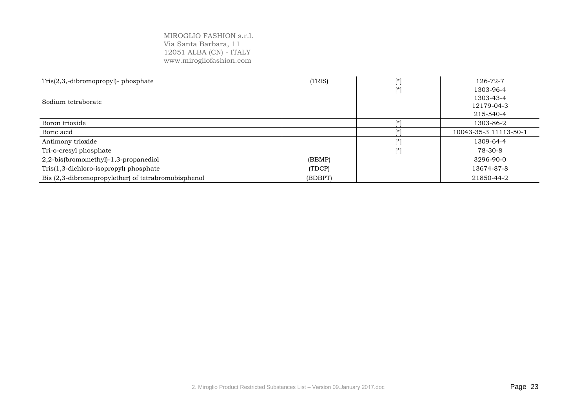| $Tris(2,3,-dibromopropyl)$ - phosphate              | (TRIS)  | ľ* | 126-72-7              |
|-----------------------------------------------------|---------|----|-----------------------|
|                                                     |         | [* | 1303-96-4             |
| Sodium tetraborate                                  |         |    | 1303-43-4             |
|                                                     |         |    | 12179-04-3            |
|                                                     |         |    | 215-540-4             |
| Boron trioxide                                      |         |    | 1303-86-2             |
| Boric acid                                          |         |    | 10043-35-3 11113-50-1 |
| Antimony trioxide                                   |         |    | 1309-64-4             |
| Tri-o-cresyl phosphate                              |         |    | 78-30-8               |
| 2,2-bis(bromomethyl)-1,3-propanediol                | (BBMP)  |    | 3296-90-0             |
| Tris(1,3-dichloro-isopropyl) phosphate              | (TDCP)  |    | 13674-87-8            |
| Bis (2,3-dibromopropylether) of tetrabromobisphenol | (BDBPT) |    | 21850-44-2            |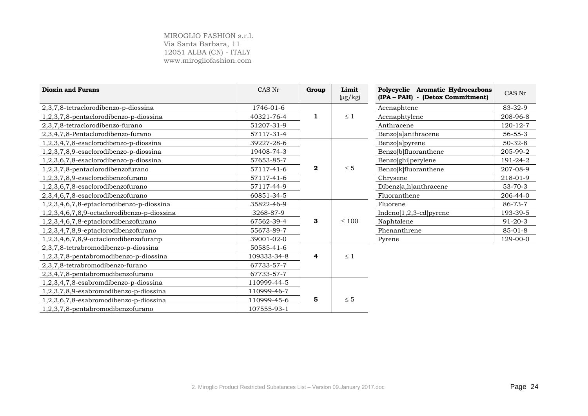| <b>Dioxin and Furans</b>                    | CAS Nr      | Group                   | Limit<br>$(\mu g/kg)$ | Polycyclic Aromatic Hydrocarbons<br>(IPA - PAH) - (Detox Commitment) | CAS Nr         |
|---------------------------------------------|-------------|-------------------------|-----------------------|----------------------------------------------------------------------|----------------|
| 2,3,7,8-tetraclorodibenzo-p-diossina        | 1746-01-6   |                         |                       | Acenaphtene                                                          | 83-32-9        |
| 1,2,3,7,8-pentaclorodibenzo-p-diossina      | 40321-76-4  | 1                       | $\leq 1$              | Acenaphtylene                                                        | 208-96-8       |
| 2,3,7,8-tetraclorodibenzo-furano            | 51207-31-9  |                         |                       | Anthracene                                                           | $120 - 12 - 7$ |
| 2,3,4,7,8-Pentaclorodibenzo-furano          | 57117-31-4  |                         |                       | Benzo[a]anthracene                                                   | $56 - 55 - 3$  |
| 1,2,3,4,7,8-esaclorodibenzo-p-diossina      | 39227-28-6  |                         |                       | Benzo[a]pyrene                                                       | $50-32-8$      |
| 1,2,3,7,8,9-esaclorodibenzo-p-diossina      | 19408-74-3  |                         |                       | Benzo[b]fluoranthene                                                 | 205-99-2       |
| 1,2,3,6,7,8-esaclorodibenzo-p-diossina      | 57653-85-7  |                         |                       | Benzo[ghi]perylene                                                   | 191-24-2       |
| 1,2,3,7,8-pentaclorodibenzofurano           | 57117-41-6  | $\boldsymbol{2}$        | $\leq 5$              | Benzo[k]fluoranthene                                                 | 207-08-9       |
| 1,2,3,7,8,9-esaclorodibenzofurano           | 57117-41-6  |                         |                       | Chrysene                                                             | 218-01-9       |
| 1,2,3,6,7,8-esaclorodibenzofurano           | 57117-44-9  |                         |                       | Dibenz[a,h]anthracene                                                | 53-70-3        |
| 2,3,4,6,7,8-esaclorodibenzofurano           | 60851-34-5  |                         |                       | Fluoranthene                                                         | 206-44-0       |
| 1,2,3,4,6,7,8-eptaclorodibenzo-p-diossina   | 35822-46-9  |                         |                       | Fluorene                                                             | 86-73-7        |
| 1,2,3,4,6,7,8,9-octaclorodibenzo-p-diossina | 3268-87-9   |                         |                       | $Indeno[1,2,3-cd]pyrene$                                             | 193-39-5       |
| 1,2,3,4,6,7,8-eptaclorodibenzofurano        | 67562-39-4  | 3                       | $\leq 100$            | Naphtalene                                                           | $91 - 20 - 3$  |
| 1,2,3,4,7,8,9-eptaclorodibenzofurano        | 55673-89-7  |                         |                       | Phenanthrene                                                         | $85 - 01 - 8$  |
| 1,2,3,4,6,7,8,9-octaclorodibenzofuranp      | 39001-02-0  |                         |                       | Pyrene                                                               | 129-00-0       |
| 2,3,7,8-tetrabromodibenzo-p-diossina        | 50585-41-6  |                         |                       |                                                                      |                |
| 1,2,3,7,8-pentabromodibenzo-p-diossina      | 109333-34-8 | $\overline{\mathbf{4}}$ | $\leq 1$              |                                                                      |                |
| 2,3,7,8-tetrabromodibenzo-furano            | 67733-57-7  |                         |                       |                                                                      |                |
| 2,3,4,7,8-pentabromodibenzofurano           | 67733-57-7  |                         |                       |                                                                      |                |
| 1,2,3,4,7,8-esabromdibenzo-p-diossina       | 110999-44-5 |                         |                       |                                                                      |                |
| 1,2,3,7,8,9-esabromodibenzo-p-diossina      | 110999-46-7 |                         |                       |                                                                      |                |
| 1,2,3,6,7,8-esabromodibenzo-p-diossina      | 110999-45-6 | 5                       | $\leq 5$              |                                                                      |                |
| 1,2,3,7,8-pentabromodibenzofurano           | 107555-93-1 |                         |                       |                                                                      |                |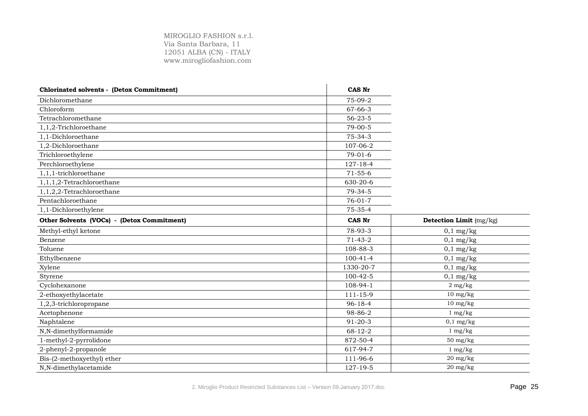| <b>Chlorinated solvents - (Detox Commitment)</b> | CAS Nr         |                         |
|--------------------------------------------------|----------------|-------------------------|
| Dichloromethane                                  | 75-09-2        |                         |
| Chloroform                                       | 67-66-3        |                         |
| Tetrachloromethane                               | $56 - 23 - 5$  |                         |
| 1,1,2-Trichloroethane                            | $79 - 00 - 5$  |                         |
| 1,1-Dichloroethane                               | $75 - 34 - 3$  |                         |
| 1,2-Dichloroethane                               | 107-06-2       |                         |
| Trichloroethylene                                | $79-01-6$      |                         |
| Perchloroethylene                                | 127-18-4       |                         |
| 1,1,1-trichloroethane                            | $71 - 55 - 6$  |                         |
| 1,1,1,2-Tetrachloroethane                        | 630-20-6       |                         |
| 1,1,2,2-Tetrachloroethane                        | $79-34-5$      |                         |
| Pentachloroethane                                | $76-01-7$      |                         |
| 1,1-Dichloroethylene                             | $75 - 35 - 4$  |                         |
| Other Solvents (VOCs) - (Detox Commitment)       | <b>CAS Nr</b>  | Detection Limit (mg/kg) |
| Methyl-ethyl ketone                              | 78-93-3        | $0,1$ mg/kg             |
| Benzene                                          | $71-43-2$      | $0,1$ mg/kg             |
| Toluene                                          | 108-88-3       | $0,1$ mg/kg             |
| Ethylbenzene                                     | $100 - 41 - 4$ | $0,1$ mg/kg             |
| Xylene                                           | 1330-20-7      | $0,1$ mg/kg             |
| Styrene                                          | 100-42-5       | $0,1$ mg/kg             |
| Cyclohexanone                                    | 108-94-1       | $2 \text{ mg/kg}$       |
| 2-ethoxyethylacetate                             | $111 - 15 - 9$ | $10 \text{ mg/kg}$      |
| 1,2,3-trichloropropane                           | $96 - 18 - 4$  | $10 \text{ mg/kg}$      |
| Acetophenone                                     | 98-86-2        | $1 \text{ mg/kg}$       |
| Naphtalene                                       | $91 - 20 - 3$  | $0,1$ mg/kg             |
| N,N-dimethylformamide                            | $68 - 12 - 2$  | $1 \text{ mg/kg}$       |
| 1-methyl-2-pyrrolidone                           | 872-50-4       | $50 \text{ mg/kg}$      |
| 2-phenyl-2-propanole                             | 617-94-7       | $1 \text{ mg/kg}$       |
| Bis-(2-methoxyethyl) ether                       | 111-96-6       | $20 \text{ mg/kg}$      |
| N,N-dimethylacetamide                            | 127-19-5       | $20 \text{ mg/kg}$      |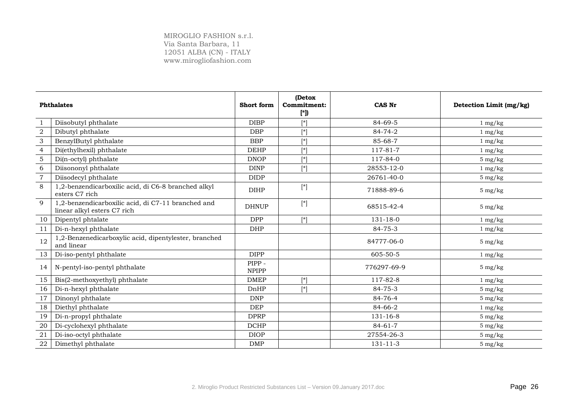| <b>Phthalates</b> |                                                                                   | <b>Short form</b>     | <b>(Detox)</b><br>Commitment:<br>[*]) | CAS Nr         | Detection Limit (mg/kg) |
|-------------------|-----------------------------------------------------------------------------------|-----------------------|---------------------------------------|----------------|-------------------------|
|                   | Diisobutyl phthalate                                                              | <b>DIBP</b>           | $\lceil * \rceil$                     | 84-69-5        | $1 \text{ mg/kg}$       |
| $\sqrt{2}$        | Dibutyl phthalate                                                                 | <b>DBP</b>            | $[\ast]$                              | 84-74-2        | $1 \text{ mg/kg}$       |
| 3                 | BenzylButyl phthalate                                                             | <b>BBP</b>            | $\lceil$ * $\rceil$                   | 85-68-7        | $1 \text{ mg/kg}$       |
| $\overline{4}$    | Di(ethylhexil) phthalate                                                          | <b>DEHP</b>           | $\lceil * \rceil$                     | 117-81-7       | $1 \text{ mg/kg}$       |
| $\mathbf 5$       | Di(n-octyl) phthalate                                                             | <b>DNOP</b>           | $\lceil * \rceil$                     | $117 - 84 - 0$ | $5 \text{ mg/kg}$       |
| 6                 | Diisononyl phthalate                                                              | <b>DINP</b>           | $\lceil * \rceil$                     | 28553-12-0     | $1 \text{ mg/kg}$       |
| $\overline{7}$    | Diisodecyl phthalate                                                              | <b>DIDP</b>           |                                       | 26761-40-0     | $5 \text{ mg/kg}$       |
| 8                 | 1,2-benzendicarboxilic acid, di C6-8 branched alkyl<br>esters C7 rich             | <b>DIHP</b>           | $[\ast]$                              | 71888-89-6     | $5 \text{ mg/kg}$       |
| 9                 | 1,2-benzendicarboxilic acid, di C7-11 branched and<br>linear alkyl esters C7 rich | <b>DHNUP</b>          | $[\ast]$                              | 68515-42-4     | $5 \text{ mg/kg}$       |
| 10                | Dipentyl phtalate                                                                 | <b>DPP</b>            | $\lceil$ *]                           | $131 - 18 - 0$ | $1 \text{ mg/kg}$       |
| 11                | Di-n-hexyl phthalate                                                              | <b>DHP</b>            |                                       | 84-75-3        | $1 \text{ mg/kg}$       |
| 12                | 1,2-Benzenedicarboxylic acid, dipentylester, branched<br>and linear               |                       |                                       | 84777-06-0     | $5 \text{ mg/kg}$       |
| 13                | Di-iso-pentyl phthalate                                                           | <b>DIPP</b>           |                                       | 605-50-5       | $1 \text{ mg/kg}$       |
| 14                | N-pentyl-iso-pentyl phthalate                                                     | PIPP-<br><b>NPIPP</b> |                                       | 776297-69-9    | $5 \text{ mg/kg}$       |
| 15                | Bis(2-methoxyethyl) phthalate                                                     | <b>DMEP</b>           | $\lceil * \rceil$                     | 117-82-8       | $1 \text{ mg/kg}$       |
| 16                | Di-n-hexyl phthalate                                                              | DnHP                  | $\lceil$ * $\rceil$                   | $84 - 75 - 3$  | $5 \text{ mg/kg}$       |
| 17                | Dinonyl phthalate                                                                 | <b>DNP</b>            |                                       | 84-76-4        | $5 \text{ mg/kg}$       |
| 18                | Diethyl phthalate                                                                 | <b>DEP</b>            |                                       | 84-66-2        | $1 \text{ mg/kg}$       |
| 19                | Di-n-propyl phthalate                                                             | <b>DPRP</b>           |                                       | $131 - 16 - 8$ | $5 \text{ mg/kg}$       |
| 20                | Di-cyclohexyl phthalate                                                           | <b>DCHP</b>           |                                       | $84 - 61 - 7$  | $5 \text{ mg/kg}$       |
| 21                | Di-iso-octyl phthalate                                                            | <b>DIOP</b>           |                                       | 27554-26-3     | $5 \text{ mg/kg}$       |
| 22                | Dimethyl phthalate                                                                | <b>DMP</b>            |                                       | $131 - 11 - 3$ | $5 \text{ mg/kg}$       |